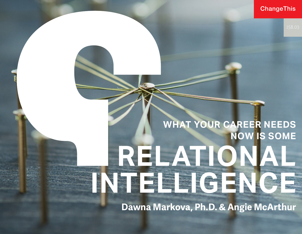ChangeThis

# **WHAT YOUR CAREER NEEDS NOW IS SOME RELATIONAL**  INTELLIGENCE

**Dawna Markova, Ph.D. & Angie McArthur**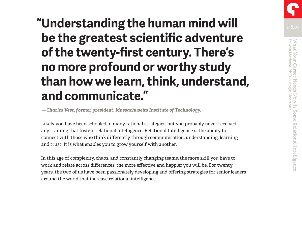# **"Understanding the human mind will be the greatest scientific adventure of the twenty-first century. There's no more profound or worthy study than how we learn, think, understand, and communicate."**

 *—Charles Vest, former president, Massachusetts Institute of Technology.* 

Likely you have been schooled in many rational strategies, but you probably never received any training that fosters relational intelligence. Relational Intelligence is the ability to connect with those who think differently through communication, understanding, learning and trust. It is what enables you to grow yourself with another.

In this age of complexity, chaos, and constantly changing teams, the more skill you have to work and relate across differences, the more effective and happier you will be. For twenty years, the two of us have been passionately developing and offering strategies for senior leaders around the world that increase relational intelligence.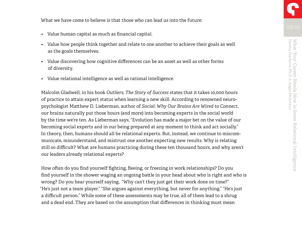- Value human capital as much as financial capital.
- Value how people think together and relate to one another to achieve their goals as well as the goals themselves.
- Value discovering how cognitive differences can be an asset as well as other forms of diversity.
- Value relational intelligence as well as rational intelligence.

Malcolm Gladwell, in his book *Outliers, The Story of Success* states that it takes 10,000 hours of practice to attain expert status when learning a new skill. According to renowned neuropsychologist Matthew D. Lieberman, author of *Social: Why Our Brains Are Wired to Connect*, our brains naturally put those hours (and more) into becoming experts in the social world by the time we're ten. As Lieberman says, "Evolution has made a major bet on the value of our becoming social experts and in our being prepared at any moment to think and act socially." In theory, then, humans should all be relational experts. But, instead, we continue to miscommunicate, misunderstand, and mistrust one another expecting new results. Why is relating still so difficult? What are humans practicing during these ten thousand hours, and why aren't our leaders already relational experts?

How often do you find yourself fighting, fleeing, or freezing in work relationships? Do you find yourself in the shower waging an ongoing battle in your head about who is right and who is wrong? Do you hear yourself saying, "Why can't they just get their work done on time?" "He's just not a team player." "She argues against everything, but never for anything." "He's just a difficult person." While some of these assessments may be true, all of them lead to a shrug and a dead end. They are based on the assumption that differences in thinking must mean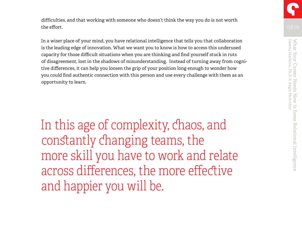difficulties, and that working with someone who doesn't think the way you do is not worth the effort.

In a wiser place of your mind, you have relational intelligence that tells you that collaboration is the leading edge of innovation. What we want you to know is how to access this underused capacity for those difficult situations when you are thinking and find yourself stuck in ruts of disagreement, lost in the shadows of misunderstanding. Instead of turning away from cognitive differences, it can help you loosen the grip of your position long enough to wonder how you could find authentic connection with this person and use every challenge with them as an opportunity to learn.

In this age of complexity, chaos, and constantly changing teams, the more skill you have to work and relate across differences, the more effective and happier you will be.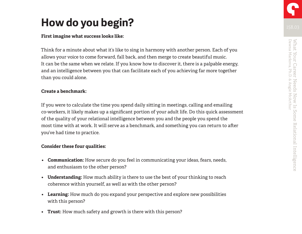# **How do you begin?**

#### **First imagine what success looks like:**

Think for a minute about what it's like to sing in harmony with another person. Each of you allows your voice to come forward, fall back, and then merge to create beautiful music. It can be the same when we relate. If you know how to discover it, there is a palpable energy, and an intelligence between you that can facilitate each of you achieving far more together than you could alone.

#### **Create a benchmark:**

If you were to calculate the time you spend daily sitting in meetings, calling and emailing co-workers, it likely makes up a significant portion of your adult life. Do this quick assessment of the quality of your relational intelligence between you and the people you spend the most time with at work. It will serve as a benchmark, and something you can return to after you've had time to practice.

### **Consider these four qualities:**

- **• Communication:** How secure do you feel in communicating your ideas, fears, needs, and enthusiasm to the other person?
- **• Understanding:** How much ability is there to use the best of your thinking to reach coherence within yourself, as well as with the other person?
- **• Learning:** How much do you expand your perspective and explore new possibilities with this person?
- **• Trust:** How much safety and growth is there with this person?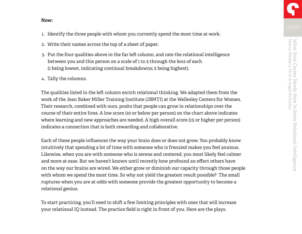#### **Now:**

- 1. Identify the three people with whom you currently spend the most time at work.
- 2. Write their names across the top of a sheet of paper.
- 3. Put the four qualities above in the far left column, and rate the relational intelligence between you and this person on a scale of 1 to 5 through the lens of each (1 being lowest, indicating continual breakdowns; 5 being highest).
- 4. Tally the columns.

The qualities listed in the left column enrich relational thinking. We adapted them from the work of the Jean Baker Miller Training Institute (JBMTI) at the Wellesley Centers for Women. Their research, combined with ours, posits that people can grow in relationships over the course of their entire lives. A low score (10 or below per person) on the chart above indicates where learning and new approaches are needed. A high overall score (15 or higher per person) indicates a connection that is both rewarding and collaborative.

Each of these people influences the way your brain does or does not grow. You probably know intuitively that spending a lot of time with someone who is frenzied makes you feel anxious. Likewise, when you are with someone who is serene and centered, you most likely feel calmer and more at ease. But we haven't known until recently how profound an effect others have on the way our brains are wired. We either grow or diminish our capacity through those people with whom we spend the most time. So why not yield the greatest result possible? The small ruptures when you are at odds with someone provide the greatest opportunity to become a relational genius.

To start practicing, you'll need to shift a few limiting principles with ones that will increase your relational IQ instead. The practice field is right in front of you. Here are the plays.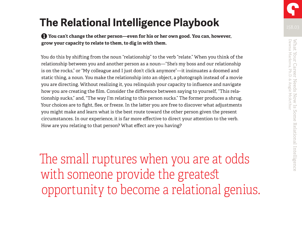# **The Relational Intelligence Playbook**

❶ **You can't change the other person—even for his or her own good. You can, however, grow your capacity to relate to them, to dig in with them.**

You do this by shifting from the noun "relationship" to the verb "relate." When you think of the relationship between you and another person as a noun—"She's my boss and our relationship is on the rocks," or "My colleague and I just don't click anymore"—it insinuates a doomed and static thing, a noun. You make the relationship into an object, a photograph instead of a movie you are directing. Without realizing it, you relinquish your capacity to influence and navigate how you are creating the film. Consider the difference between saying to yourself, "This relationship sucks," and, "The way I'm relating to this person sucks." The former produces a shrug. Your choices are to fight, flee, or freeze. In the latter you are free to discover what adjustments you might make and learn what is the best route toward the other person given the present circumstances. In our experience, it is far more effective to direct your attention to the verb. How are you relating to that person? What effect are you having?

The small ruptures when you are at odds with someone provide the greatest opportunity to become a relational genius.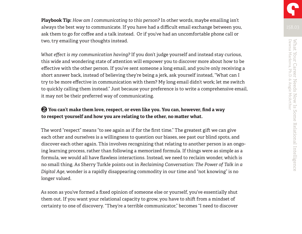**Playbook Tip:** *How am I communicating to this person?* In other words, maybe emailing isn't always the best way to communicate. If you have had a difficult email exchange between you, ask them to go for coffee and a talk instead. Or if you've had an uncomfortable phone call or two, try emailing your thoughts instead.

*What effect is my communication having?* If you don't judge yourself and instead stay curious, this wide and wondering state of attention will empower you to discover more about how to be effective with the other person. If you've sent someone a long email, and you're only receiving a short answer back, instead of believing they're being a jerk, ask yourself instead, "What can I try to be more effective in communication with them? My long email didn't work; let me switch to quickly calling them instead." Just because your preference is to write a comprehensive email, it may not be their preferred way of communicating.

### ❷ **You can't make them love, respect, or even like you. You can, however, find a way to respect yourself and how you are relating to the other, no matter what.**

The word "respect" means "to see again as if for the first time." The greatest gift we can give each other and ourselves is a willingness to question our biases, see past our blind spots, and discover each other again. This involves recognizing that relating to another person is an ongoing learning process, rather than following a memorized formula. If things were as simple as a formula, we would all have flawless interactions. Instead, we need to reclaim wonder, which is no small thing. As Sherry Turkle points out in *Reclaiming Conversation: The Power of Talk in a Digital Age*, wonder is a rapidly disappearing commodity in our time and "not knowing" is no longer valued.

As soon as you've formed a fixed opinion of someone else or yourself, you've essentially shut them out. If you want your relational capacity to grow, you have to shift from a mindset of certainty to one of discovery. "They're a terrible communicator," becomes "I need to discover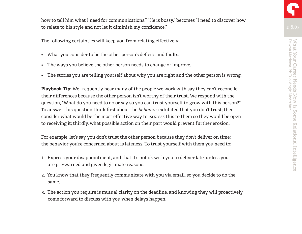how to tell him what I need for communications." "He is bossy," becomes "I need to discover how to relate to his style and not let it diminish my confidence."

The following certainties will keep you from relating effectively:

- What you consider to be the other person's deficits and faults.
- The ways you believe the other person needs to change or improve.
- The stories you are telling yourself about why you are right and the other person is wrong.

**Playbook Tip:** We frequently hear many of the people we work with say they can't reconcile their differences because the other person isn't worthy of their trust. We respond with the question, "What do you need to do or say so you can trust yourself to grow with this person?" To answer this question think first about the *behavior* exhibited that you don't trust; then consider what would be the most effective way to *express* this to them so they would be open to receiving it; thirdly, what possible action on their part would prevent further erosion.

For example, let's say you don't trust the other person because they don't deliver on time: the behavior you're concerned about is lateness. To trust yourself with them you need to:

- 1. Express your disappointment, and that it's not ok with you to deliver late, unless you are pre-warned and given legitimate reasons.
- 2. You know that they frequently communicate with you via email, so you decide to do the same.
- 3. The action you require is mutual clarity on the deadline, and knowing they will proactively come forward to discuss with you when delays happen.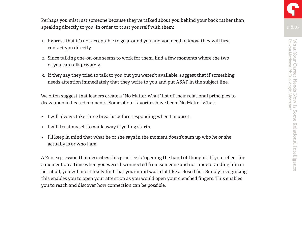Perhaps you mistrust someone because they've talked about you behind your back rather than speaking directly to you. In order to trust yourself with them:

- 1. Express that it's not acceptable to go around you and you need to know they will first contact you directly.
- 2. Since talking one-on-one seems to work for them, find a few moments where the two of you can talk privately.
- 3. If they say they tried to talk to you but you weren't available, suggest that if something needs attention immediately that they write to you and put ASAP in the subject line.

We often suggest that leaders create a "No Matter What" list of their relational principles to draw upon in heated moments. Some of our favorites have been: No Matter What:

- I will always take three breaths before responding when I'm upset.
- I will trust myself to walk away if yelling starts.
- I'll keep in mind that what he or she says in the moment doesn't sum up who he or she actually is or who I am.

A Zen expression that describes this practice is "opening the hand of thought." If you reflect for a moment on a time when you were disconnected from someone and not understanding him or her at all, you will most likely find that your mind was a lot like a closed fist. Simply recognizing this enables you to open your attention as you would open your clenched fingers. This enables you to reach and discover how connection can be possible.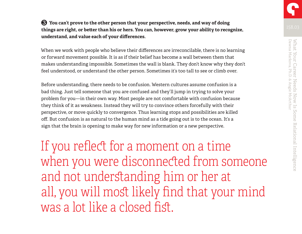❸ **You can't prove to the other person that your perspective, needs, and way of doing things are right, or better than his or hers. You can, however, grow your ability to recognize, understand, and value each of your differences.**

When we work with people who believe their differences are irreconcilable, there is no learning or forward movement possible. It is as if their belief has become a wall between them that makes understanding impossible. Sometimes the wall is blank. They don't know why they don't feel understood, or understand the other person. Sometimes it's too tall to see or climb over.

Before understanding, there needs to be confusion. Western cultures assume confusion is a bad thing. Just tell someone that you are confused and they'll jump in trying to solve your problem for you—in their own way. Most people are not comfortable with confusion because they think of it as weakness. Instead they will try to convince others forcefully with their perspective, or move quickly to convergence. Thus learning stops and possibilities are killed off. But confusion is as natural to the human mind as a tide going out is to the ocean. It's a sign that the brain is opening to make way for new information or a new perspective.

If you reflect for a moment on a time when you were disconnected from someone and not understanding him or her at all, you will most likely find that your mind was a lot like a closed fist.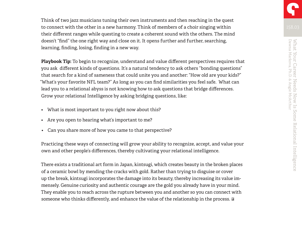Think of two jazz musicians tuning their own instruments and then reaching in the quest to connect with the other in a new harmony. Think of members of a choir singing within their different ranges while questing to create a coherent sound with the others. The mind doesn't "find" the one right way and close on it. It opens further and further, searching, learning, finding, losing, finding in a new way.

**Playbook Tip:** To begin to recognize, understand and value different perspectives requires that you ask different kinds of questions. It's a natural tendency to ask others "bonding questions" that search for a kind of sameness that could unite you and another: "How old are your kids?" "What's your favorite NFL team?" As long as you can find similarities you feel safe. What can lead you to a relational abyss is not knowing how to ask questions that bridge differences. Grow your relational Intelligence by asking bridging questions, like:

- What is most important to you right now about this?
- Are you open to hearing what's important to me?
- Can you share more of how you came to that perspective?

Practicing these ways of connecting will grow your ability to recognize, accept, and value your own and other people's differences, thereby cultivating your relational intelligence.

There exists a traditional art form in Japan, kintsugi, which creates beauty in the broken places of a ceramic bowl by mending the cracks with gold. Rather than trying to disguise or cover up the break, kintsugi incorporates the damage into its beauty, thereby increasing its value immensely. Genuine curiosity and authentic courage are the gold you already have in your mind. They enable you to reach across the rupture between you and another so you can connect with someone who thinks differently, and enhance the value of the relationship in the process.  $\Omega$